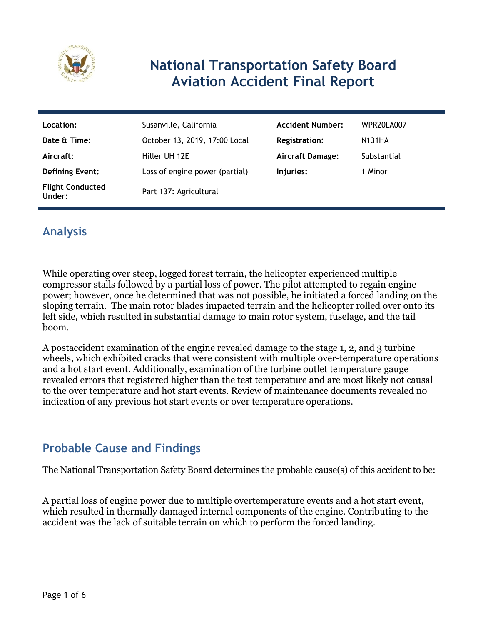

# **National Transportation Safety Board Aviation Accident Final Report**

| Location:                         | Susanville, California         | <b>Accident Number:</b> | WPR20LA007    |
|-----------------------------------|--------------------------------|-------------------------|---------------|
| Date & Time:                      | October 13, 2019, 17:00 Local  | <b>Registration:</b>    | <b>N131HA</b> |
| Aircraft:                         | Hiller UH 12E                  | <b>Aircraft Damage:</b> | Substantial   |
| <b>Defining Event:</b>            | Loss of engine power (partial) | Injuries:               | 1 Minor       |
| <b>Flight Conducted</b><br>Under: | Part 137: Agricultural         |                         |               |

### **Analysis**

While operating over steep, logged forest terrain, the helicopter experienced multiple compressor stalls followed by a partial loss of power. The pilot attempted to regain engine power; however, once he determined that was not possible, he initiated a forced landing on the sloping terrain. The main rotor blades impacted terrain and the helicopter rolled over onto its left side, which resulted in substantial damage to main rotor system, fuselage, and the tail boom.

A postaccident examination of the engine revealed damage to the stage 1, 2, and 3 turbine wheels, which exhibited cracks that were consistent with multiple over-temperature operations and a hot start event. Additionally, examination of the turbine outlet temperature gauge revealed errors that registered higher than the test temperature and are most likely not causal to the over temperature and hot start events. Review of maintenance documents revealed no indication of any previous hot start events or over temperature operations.

### **Probable Cause and Findings**

The National Transportation Safety Board determines the probable cause(s) of this accident to be:

A partial loss of engine power due to multiple overtemperature events and a hot start event, which resulted in thermally damaged internal components of the engine. Contributing to the accident was the lack of suitable terrain on which to perform the forced landing.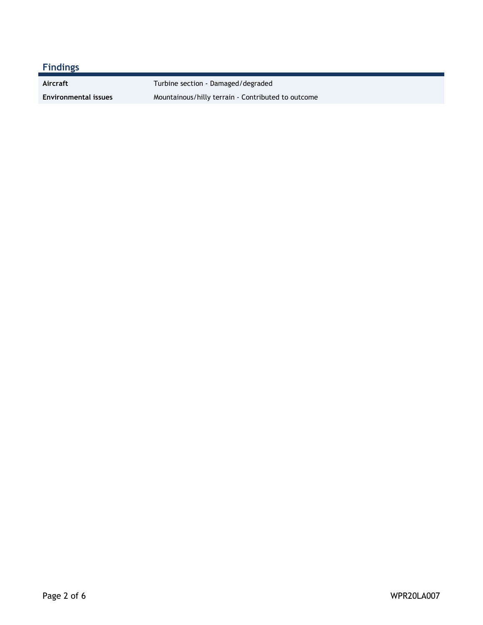Aircraft **Aircraft** Turbine section - Damaged/degraded

**Environmental issues** Mountainous/hilly terrain - Contributed to outcome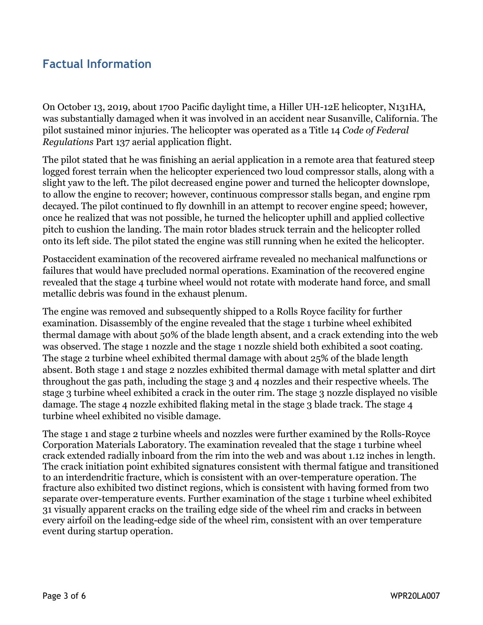### **Factual Information**

On October 13, 2019, about 1700 Pacific daylight time, a Hiller UH-12E helicopter, N131HA, was substantially damaged when it was involved in an accident near Susanville, California. The pilot sustained minor injuries. The helicopter was operated as a Title 14 *Code of Federal Regulations* Part 137 aerial application flight.

The pilot stated that he was finishing an aerial application in a remote area that featured steep logged forest terrain when the helicopter experienced two loud compressor stalls, along with a slight yaw to the left. The pilot decreased engine power and turned the helicopter downslope, to allow the engine to recover; however, continuous compressor stalls began, and engine rpm decayed. The pilot continued to fly downhill in an attempt to recover engine speed; however, once he realized that was not possible, he turned the helicopter uphill and applied collective pitch to cushion the landing. The main rotor blades struck terrain and the helicopter rolled onto its left side. The pilot stated the engine was still running when he exited the helicopter.

Postaccident examination of the recovered airframe revealed no mechanical malfunctions or failures that would have precluded normal operations. Examination of the recovered engine revealed that the stage 4 turbine wheel would not rotate with moderate hand force, and small metallic debris was found in the exhaust plenum.

The engine was removed and subsequently shipped to a Rolls Royce facility for further examination. Disassembly of the engine revealed that the stage 1 turbine wheel exhibited thermal damage with about 50% of the blade length absent, and a crack extending into the web was observed. The stage 1 nozzle and the stage 1 nozzle shield both exhibited a soot coating. The stage 2 turbine wheel exhibited thermal damage with about 25% of the blade length absent. Both stage 1 and stage 2 nozzles exhibited thermal damage with metal splatter and dirt throughout the gas path, including the stage 3 and 4 nozzles and their respective wheels. The stage 3 turbine wheel exhibited a crack in the outer rim. The stage 3 nozzle displayed no visible damage. The stage 4 nozzle exhibited flaking metal in the stage 3 blade track. The stage 4 turbine wheel exhibited no visible damage.

The stage 1 and stage 2 turbine wheels and nozzles were further examined by the Rolls-Royce Corporation Materials Laboratory. The examination revealed that the stage 1 turbine wheel crack extended radially inboard from the rim into the web and was about 1.12 inches in length. The crack initiation point exhibited signatures consistent with thermal fatigue and transitioned to an interdendritic fracture, which is consistent with an over-temperature operation. The fracture also exhibited two distinct regions, which is consistent with having formed from two separate over-temperature events. Further examination of the stage 1 turbine wheel exhibited 31 visually apparent cracks on the trailing edge side of the wheel rim and cracks in between every airfoil on the leading-edge side of the wheel rim, consistent with an over temperature event during startup operation.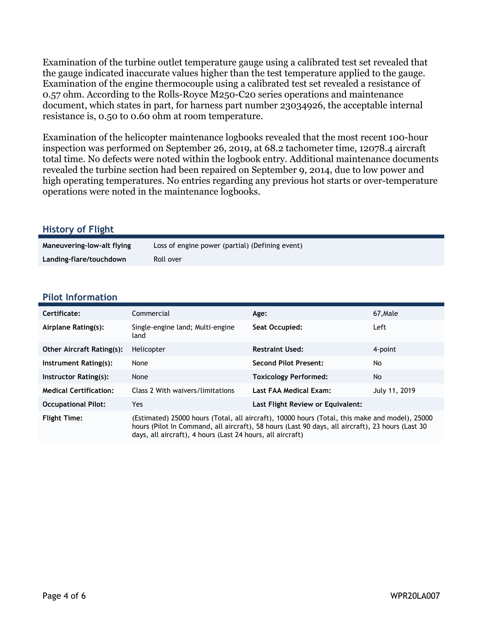Examination of the turbine outlet temperature gauge using a calibrated test set revealed that the gauge indicated inaccurate values higher than the test temperature applied to the gauge. Examination of the engine thermocouple using a calibrated test set revealed a resistance of 0.57 ohm. According to the Rolls-Royce M250-C20 series operations and maintenance document, which states in part, for harness part number 23034926, the acceptable internal resistance is, 0.50 to 0.60 ohm at room temperature.

Examination of the helicopter maintenance logbooks revealed that the most recent 100-hour inspection was performed on September 26, 2019, at 68.2 tachometer time, 12078.4 aircraft total time. No defects were noted within the logbook entry. Additional maintenance documents revealed the turbine section had been repaired on September 9, 2014, due to low power and high operating temperatures. No entries regarding any previous hot starts or over-temperature operations were noted in the maintenance logbooks.

#### **History of Flight**

| Maneuvering-low-alt flying | Loss of engine power (partial) (Defining event) |
|----------------------------|-------------------------------------------------|
| Landing-flare/touchdown    | Roll over                                       |

#### **Pilot Information**

| Certificate:                     | Commercial                                                                                                                                                                                                                                                       | Age:                              | 67, Male      |
|----------------------------------|------------------------------------------------------------------------------------------------------------------------------------------------------------------------------------------------------------------------------------------------------------------|-----------------------------------|---------------|
| Airplane Rating(s):              | Single-engine land; Multi-engine<br>land                                                                                                                                                                                                                         | Seat Occupied:                    | Left          |
| <b>Other Aircraft Rating(s):</b> | Helicopter                                                                                                                                                                                                                                                       | <b>Restraint Used:</b>            | 4-point       |
| Instrument Rating(s):            | None                                                                                                                                                                                                                                                             | <b>Second Pilot Present:</b>      | No            |
| Instructor Rating(s):            | None                                                                                                                                                                                                                                                             | <b>Toxicology Performed:</b>      | No            |
| <b>Medical Certification:</b>    | Class 2 With waivers/limitations                                                                                                                                                                                                                                 | Last FAA Medical Exam:            | July 11, 2019 |
| <b>Occupational Pilot:</b>       | Yes.                                                                                                                                                                                                                                                             | Last Flight Review or Equivalent: |               |
| <b>Flight Time:</b>              | (Estimated) 25000 hours (Total, all aircraft), 10000 hours (Total, this make and model), 25000<br>hours (Pilot In Command, all aircraft), 58 hours (Last 90 days, all aircraft), 23 hours (Last 30<br>days, all aircraft), 4 hours (Last 24 hours, all aircraft) |                                   |               |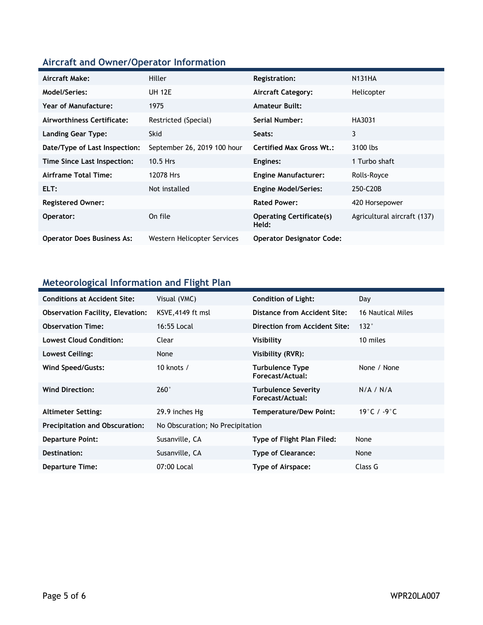## **Aircraft and Owner/Operator Information**

| Aircraft Make:                    | Hiller                      | Registration:                            | <b>N131HA</b>               |
|-----------------------------------|-----------------------------|------------------------------------------|-----------------------------|
| Model/Series:                     | <b>UH 12E</b>               | Aircraft Category:                       | Helicopter                  |
| Year of Manufacture:              | 1975                        | <b>Amateur Built:</b>                    |                             |
| Airworthiness Certificate:        | Restricted (Special)        | Serial Number:                           | HA3031                      |
| <b>Landing Gear Type:</b>         | <b>Skid</b>                 | Seats:                                   | 3                           |
| Date/Type of Last Inspection:     | September 26, 2019 100 hour | <b>Certified Max Gross Wt.:</b>          | 3100 lbs                    |
| Time Since Last Inspection:       | 10.5 Hrs                    | Engines:                                 | 1 Turbo shaft               |
| Airframe Total Time:              | 12078 Hrs                   | <b>Engine Manufacturer:</b>              | Rolls-Royce                 |
| ELT:                              | Not installed               | <b>Engine Model/Series:</b>              | 250-C20B                    |
| <b>Registered Owner:</b>          |                             | <b>Rated Power:</b>                      | 420 Horsepower              |
| Operator:                         | On file                     | <b>Operating Certificate(s)</b><br>Held: | Agricultural aircraft (137) |
| <b>Operator Does Business As:</b> | Western Helicopter Services | <b>Operator Designator Code:</b>         |                             |

### **Meteorological Information and Flight Plan**

| <b>Conditions at Accident Site:</b>     | Visual (VMC)                     | <b>Condition of Light:</b>              | Day               |
|-----------------------------------------|----------------------------------|-----------------------------------------|-------------------|
| <b>Observation Facility, Elevation:</b> | KSVE, 4149 ft msl                | Distance from Accident Site:            | 16 Nautical Miles |
| <b>Observation Time:</b>                | 16:55 Local                      | Direction from Accident Site:           | 132°              |
| <b>Lowest Cloud Condition:</b>          | Clear                            | Visibility                              | 10 miles          |
| Lowest Ceiling:                         | None                             | Visibility (RVR):                       |                   |
| Wind Speed/Gusts:                       | 10 knots $/$                     | Turbulence Type<br>Forecast/Actual:     | None / None       |
| <b>Wind Direction:</b>                  | $260^\circ$                      | Turbulence Severity<br>Forecast/Actual: | N/A / N/A         |
| <b>Altimeter Setting:</b>               | 29.9 inches Hg                   | <b>Temperature/Dew Point:</b>           | 19 ° C / -9 ° C   |
| <b>Precipitation and Obscuration:</b>   | No Obscuration; No Precipitation |                                         |                   |
| <b>Departure Point:</b>                 | Susanville, CA                   | Type of Flight Plan Filed:              | None              |
| Destination:                            | Susanville, CA                   | <b>Type of Clearance:</b>               | None              |
| <b>Departure Time:</b>                  | 07:00 Local                      | Type of Airspace:                       | Class G           |